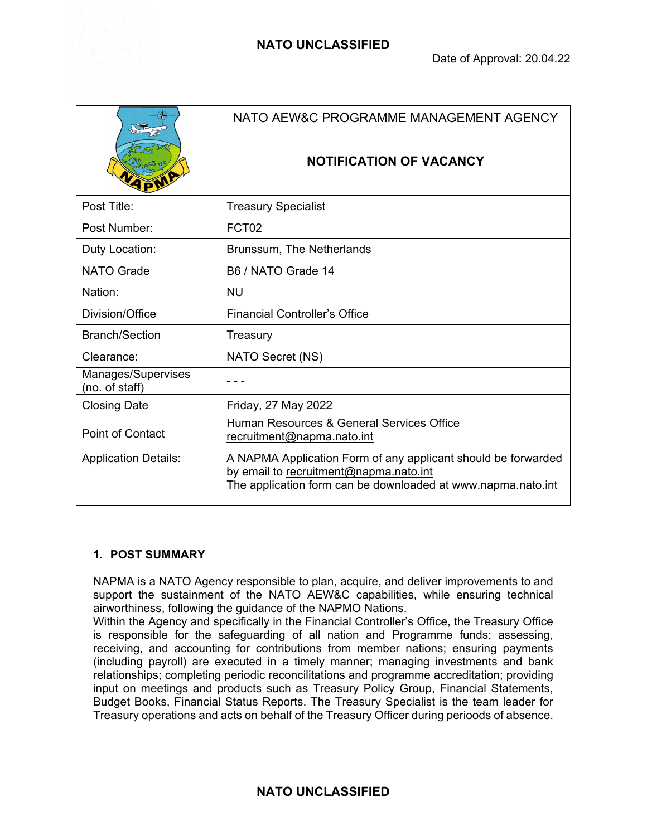

|                                      | NATO AEW&C PROGRAMME MANAGEMENT AGENCY<br><b>NOTIFICATION OF VACANCY</b>                                                                                                |
|--------------------------------------|-------------------------------------------------------------------------------------------------------------------------------------------------------------------------|
| Post Title:                          | <b>Treasury Specialist</b>                                                                                                                                              |
| Post Number:                         | FCT <sub>02</sub>                                                                                                                                                       |
| Duty Location:                       | Brunssum, The Netherlands                                                                                                                                               |
| <b>NATO Grade</b>                    | B6 / NATO Grade 14                                                                                                                                                      |
| Nation:                              | <b>NU</b>                                                                                                                                                               |
| Division/Office                      | <b>Financial Controller's Office</b>                                                                                                                                    |
| <b>Branch/Section</b>                | Treasury                                                                                                                                                                |
| Clearance:                           | NATO Secret (NS)                                                                                                                                                        |
| Manages/Supervises<br>(no. of staff) |                                                                                                                                                                         |
| <b>Closing Date</b>                  | Friday, 27 May 2022                                                                                                                                                     |
| <b>Point of Contact</b>              | Human Resources & General Services Office<br>recruitment@napma.nato.int                                                                                                 |
| <b>Application Details:</b>          | A NAPMA Application Form of any applicant should be forwarded<br>by email to recruitment@napma.nato.int<br>The application form can be downloaded at www.napma.nato.int |

# **1. POST SUMMARY**

NAPMA is a NATO Agency responsible to plan, acquire, and deliver improvements to and support the sustainment of the NATO AEW&C capabilities, while ensuring technical airworthiness, following the guidance of the NAPMO Nations.

Within the Agency and specifically in the Financial Controller's Office, the Treasury Office is responsible for the safeguarding of all nation and Programme funds; assessing, receiving, and accounting for contributions from member nations; ensuring payments (including payroll) are executed in a timely manner; managing investments and bank relationships; completing periodic reconcilitations and programme accreditation; providing input on meetings and products such as Treasury Policy Group, Financial Statements, Budget Books, Financial Status Reports. The Treasury Specialist is the team leader for Treasury operations and acts on behalf of the Treasury Officer during perioods of absence.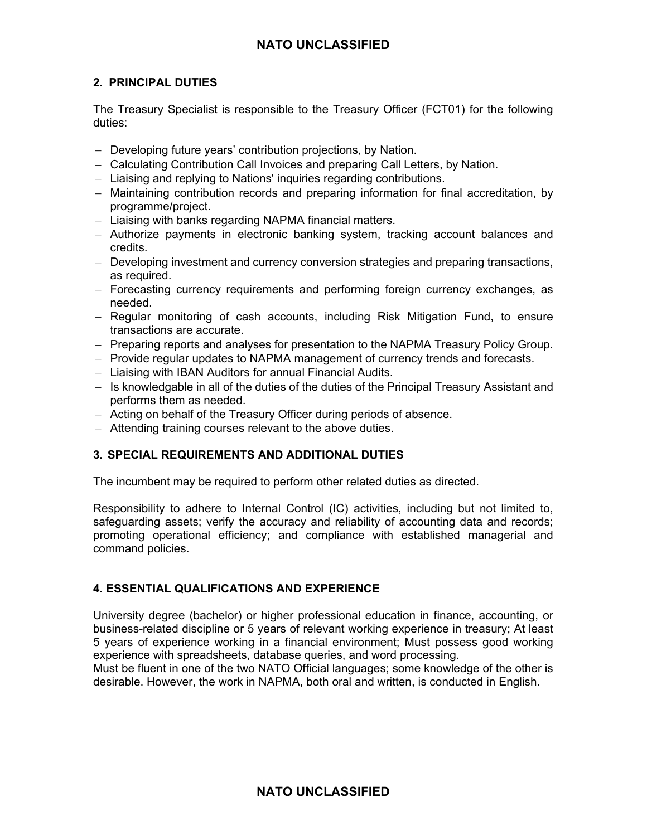# **NATO UNCLASSIFIED**

## **2. PRINCIPAL DUTIES**

The Treasury Specialist is responsible to the Treasury Officer (FCT01) for the following duties:

- Developing future years' contribution projections, by Nation.
- Calculating Contribution Call Invoices and preparing Call Letters, by Nation.
- Liaising and replying to Nations' inquiries regarding contributions.
- Maintaining contribution records and preparing information for final accreditation, by programme/project.
- Liaising with banks regarding NAPMA financial matters.
- Authorize payments in electronic banking system, tracking account balances and credits.
- Developing investment and currency conversion strategies and preparing transactions, as required.
- Forecasting currency requirements and performing foreign currency exchanges, as needed.
- Regular monitoring of cash accounts, including Risk Mitigation Fund, to ensure transactions are accurate.
- Preparing reports and analyses for presentation to the NAPMA Treasury Policy Group.
- Provide regular updates to NAPMA management of currency trends and forecasts.
- Liaising with IBAN Auditors for annual Financial Audits.
- Is knowledgable in all of the duties of the duties of the Principal Treasury Assistant and performs them as needed.
- Acting on behalf of the Treasury Officer during periods of absence.
- Attending training courses relevant to the above duties.

## **3. SPECIAL REQUIREMENTS AND ADDITIONAL DUTIES**

The incumbent may be required to perform other related duties as directed.

Responsibility to adhere to Internal Control (IC) activities, including but not limited to, safeguarding assets; verify the accuracy and reliability of accounting data and records; promoting operational efficiency; and compliance with established managerial and command policies.

## **4. ESSENTIAL QUALIFICATIONS AND EXPERIENCE**

University degree (bachelor) or higher professional education in finance, accounting, or business-related discipline or 5 years of relevant working experience in treasury; At least 5 years of experience working in a financial environment; Must possess good working experience with spreadsheets, database queries, and word processing.

Must be fluent in one of the two NATO Official languages; some knowledge of the other is desirable. However, the work in NAPMA, both oral and written, is conducted in English.